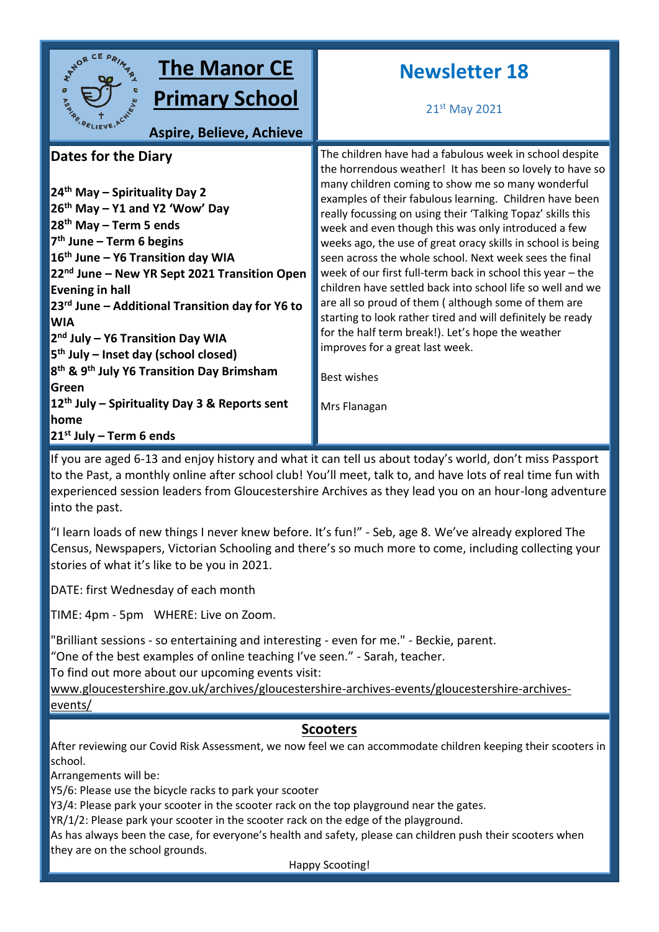

# **The Manor CE**

**Primary School**

**Aspire, Believe, Achieve**

# **Dates for the Diary**

**th May – Spirituality Day 2 th May – Y1 and Y2 'Wow' Day th May – Term 5 ends th June – Term 6 begins th June – Y6 Transition day WIA nd June – New YR Sept 2021 Transition Open Evening in hall rd June – Additional Transition day for Y6 to WIA nd July – Y6 Transition Day WIA th July – Inset day (school closed) th & 9th July Y6 Transition Day Brimsham Green th July – Spirituality Day 3 & Reports sent home st July – Term 6 ends**

# **Newsletter 18**

21st May 2021

The children have had a fabulous week in school despite the horrendous weather! It has been so lovely to have so many children coming to show me so many wonderful examples of their fabulous learning. Children have been really focussing on using their 'Talking Topaz' skills this week and even though this was only introduced a few weeks ago, the use of great oracy skills in school is being seen across the whole school. Next week sees the final week of our first full-term back in school this year – the children have settled back into school life so well and we are all so proud of them ( although some of them are starting to look rather tired and will definitely be ready for the half term break!). Let's hope the weather improves for a great last week.

Best wishes

Mrs Flanagan

If you are aged 6-13 and enjoy history and what it can tell us about today's world, don't miss Passport to the Past, a monthly online after school club! You'll meet, talk to, and have lots of real time fun with experienced session leaders from Gloucestershire Archives as they lead you on an hour-long adventure into the past.

"I learn loads of new things I never knew before. It's fun!" - Seb, age 8. We've already explored The Census, Newspapers, Victorian Schooling and there's so much more to come, including collecting your stories of what it's like to be you in 2021.

DATE: first Wednesday of each month

TIME: 4pm - 5pm WHERE: Live on Zoom.

"Brilliant sessions - so entertaining and interesting - even for me." - Beckie, parent.

"One of the best examples of online teaching I've seen." - Sarah, teacher.

To find out more about our upcoming events visit:

[www.gloucestershire.gov.uk/archives/gloucestershire-archives-events/gloucestershire-archives](https://www.gloucestershire.gov.uk/archives/gloucestershire-archives-events/gloucestershire-archives-events/)[events/](https://www.gloucestershire.gov.uk/archives/gloucestershire-archives-events/gloucestershire-archives-events/)

# **Scooters**

After reviewing our Covid Risk Assessment, we now feel we can accommodate children keeping their scooters in school.

Arrangements will be:

Y5/6: Please use the bicycle racks to park your scooter

Y3/4: Please park your scooter in the scooter rack on the top playground near the gates.

YR/1/2: Please park your scooter in the scooter rack on the edge of the playground.

As has always been the case, for everyone's health and safety, please can children push their scooters when they are on the school grounds.

Happy Scooting!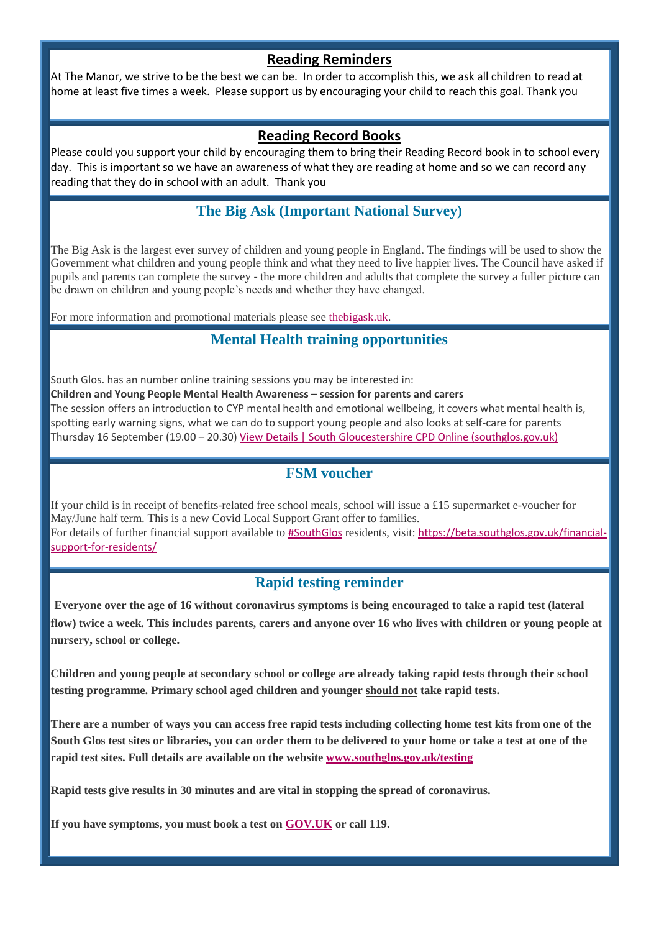#### **Reading Reminders**

At The Manor, we strive to be the best we can be. In order to accomplish this, we ask all children to read at home at least five times a week. Please support us by encouraging your child to reach this goal. Thank you

#### **Reading Record Books**

Please could you support your child by encouraging them to bring their Reading Record book in to school every day. This is important so we have an awareness of what they are reading at home and so we can record any reading that they do in school with an adult. Thank you

# **The Big Ask (Important National Survey)**

The Big Ask is the largest ever survey of children and young people in England. The findings will be used to show the Government what children and young people think and what they need to live happier lives. The Council have asked if pupils and parents can complete the survey - the more children and adults that complete the survey a fuller picture can be drawn on children and young people's needs and whether they have changed.

For more information and promotional materials please see [thebigask.uk.](https://southglos.us3.list-manage.com/track/click?u=d80523c882d7ac64e89f5e037&id=06ecc096cf&e=bcfd7796bf)

# **Mental Health training opportunities**

South Glos. has an number online training sessions you may be interested in:

**Children and Young People Mental Health Awareness – session for parents and carers**

The session offers an introduction to CYP mental health and emotional wellbeing, it covers what mental health is, spotting early warning signs, what we can do to support young people and also looks at self-care for parents Thursday 16 September (19.00 – 20.30[\) View Details | South Gloucestershire CPD Online \(southglos.gov.uk\)](https://southglos.us3.list-manage.com/track/click?u=d80523c882d7ac64e89f5e037&id=af1f508d4b&e=bcfd7796bf)

#### **FSM voucher**

If your child is in receipt of benefits-related free school meals, school will issue a £15 supermarket e-voucher for May/June half term. This is a new Covid Local Support Grant offer to families. For details of further financial support available to [#SouthGlos](https://southglos.us3.list-manage.com/track/click?u=d80523c882d7ac64e89f5e037&id=6bf61ff21c&e=bcfd7796bf) residents, visit: [https://beta.southglos.gov.uk/financial](https://southglos.us3.list-manage.com/track/click?u=d80523c882d7ac64e89f5e037&id=607454d9f6&e=bcfd7796bf)[support-for-residents/](https://southglos.us3.list-manage.com/track/click?u=d80523c882d7ac64e89f5e037&id=607454d9f6&e=bcfd7796bf)

#### **Rapid testing reminder**

**Everyone over the age of 16 without coronavirus symptoms is being encouraged to take a rapid test (lateral flow) twice a week. This includes parents, carers and anyone over 16 who lives with children or young people at nursery, school or college.**

**Children and young people at secondary school or college are already taking rapid tests through their school testing programme. Primary school aged children and younger should not take rapid tests.**

**There are a number of ways you can access free rapid tests including collecting home test kits from one of the South Glos test sites or libraries, you can order them to be delivered to your home or take a test at one of the rapid test sites. Full details are available on the websit[e www.southglos.gov.uk/testing](https://southglos.us3.list-manage.com/track/click?u=d80523c882d7ac64e89f5e037&id=0b2208c7c0&e=bcfd7796bf)**

**Rapid tests give results in 30 minutes and are vital in stopping the spread of coronavirus.**

**If you have symptoms, you must book a test on [GOV.UK](https://southglos.us3.list-manage.com/track/click?u=d80523c882d7ac64e89f5e037&id=8ce44e14cc&e=bcfd7796bf) or call 119.**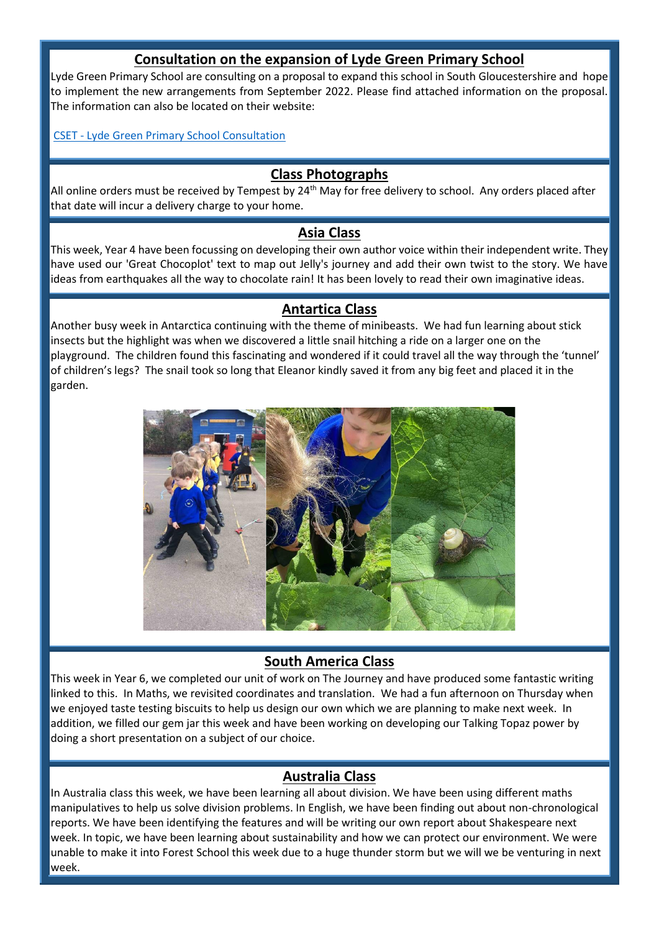#### **Consultation on the expansion of Lyde Green Primary School**

Lyde Green Primary School are consulting on a proposal to expand this school in South Gloucestershire and hope to implement the new arrangements from September 2022. Please find attached information on the proposal. The information can also be located on their website:

CSET - [Lyde Green Primary School Consultation](https://cset.co.uk/Consultation/)

#### **Class Photographs**

All online orders must be received by Tempest by 24<sup>th</sup> May for free delivery to school. Any orders placed after that date will incur a delivery charge to your home.

#### **Asia Class**

This week, Year 4 have been focussing on developing their own author voice within their independent write. They have used our 'Great Chocoplot' text to map out Jelly's journey and add their own twist to the story. We have ideas from earthquakes all the way to chocolate rain! It has been lovely to read their own imaginative ideas.

#### **Antartica Class**

Another busy week in Antarctica continuing with the theme of minibeasts. We had fun learning about stick insects but the highlight was when we discovered a little snail hitching a ride on a larger one on the playground. The children found this fascinating and wondered if it could travel all the way through the 'tunnel' of children's legs? The snail took so long that Eleanor kindly saved it from any big feet and placed it in the garden.



#### **South America Class**

This week in Year 6, we completed our unit of work on The Journey and have produced some fantastic writing linked to this. In Maths, we revisited coordinates and translation. We had a fun afternoon on Thursday when we enjoyed taste testing biscuits to help us design our own which we are planning to make next week. In addition, we filled our gem jar this week and have been working on developing our Talking Topaz power by doing a short presentation on a subject of our choice.

#### **Australia Class**

In Australia class this week, we have been learning all about division. We have been using different maths manipulatives to help us solve division problems. In English, we have been finding out about non-chronological reports. We have been identifying the features and will be writing our own report about Shakespeare next week. In topic, we have been learning about sustainability and how we can protect our environment. We were unable to make it into Forest School this week due to a huge thunder storm but we will we be venturing in next week.